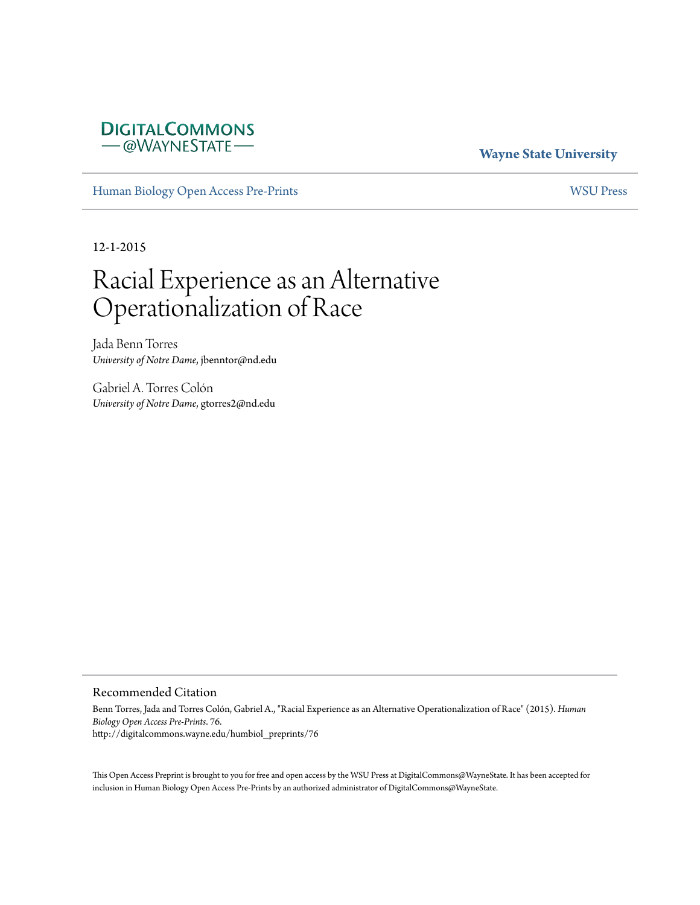## **DIGITALCOMMONS** -@WAYNESTATE-

## **Wayne State University**

[Human Biology Open Access Pre-Prints](http://digitalcommons.wayne.edu/humbiol_preprints) [WSU Press](http://digitalcommons.wayne.edu/wsupress)

12-1-2015

# Racial Experience as an Alternative Operationalization of Race

Jada Benn Torres *University of Notre Dame*, jbenntor@nd.edu

Gabriel A. Torres Colón *University of Notre Dame*, gtorres2@nd.edu

#### Recommended Citation

Benn Torres, Jada and Torres Colón, Gabriel A., "Racial Experience as an Alternative Operationalization of Race" (2015). *Human Biology Open Access Pre-Prints*. 76. http://digitalcommons.wayne.edu/humbiol\_preprints/76

This Open Access Preprint is brought to you for free and open access by the WSU Press at DigitalCommons@WayneState. It has been accepted for inclusion in Human Biology Open Access Pre-Prints by an authorized administrator of DigitalCommons@WayneState.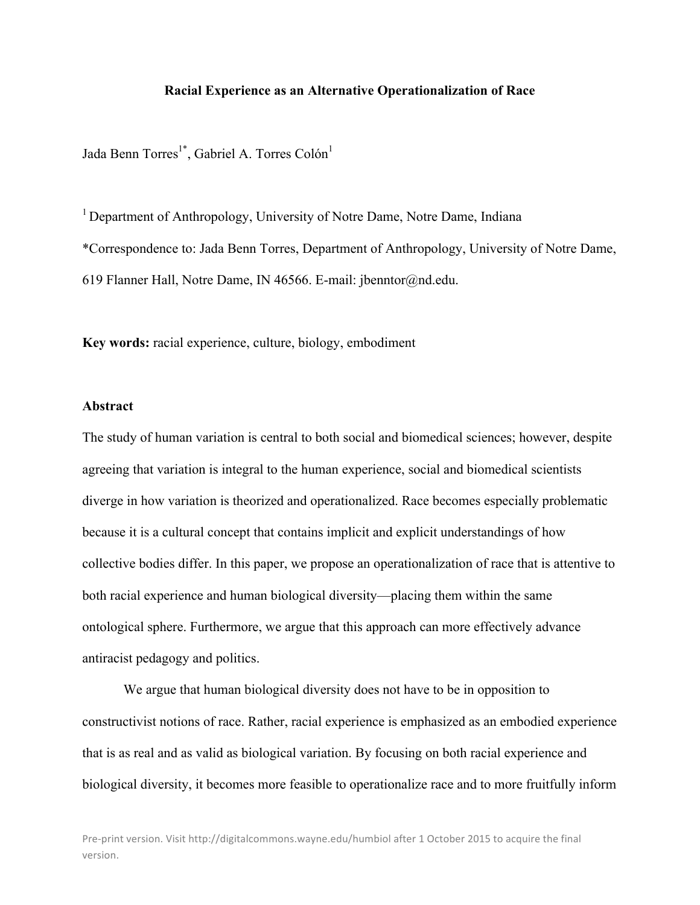#### **Racial Experience as an Alternative Operationalization of Race**

Jada Benn Torres<sup>1\*</sup>, Gabriel A. Torres Colón<sup>1</sup>

<sup>1</sup> Department of Anthropology, University of Notre Dame, Notre Dame, Indiana \*Correspondence to: Jada Benn Torres, Department of Anthropology, University of Notre Dame, 619 Flanner Hall, Notre Dame, IN 46566. E-mail: jbenntor@nd.edu.

**Key words:** racial experience, culture, biology, embodiment

#### **Abstract**

The study of human variation is central to both social and biomedical sciences; however, despite agreeing that variation is integral to the human experience, social and biomedical scientists diverge in how variation is theorized and operationalized. Race becomes especially problematic because it is a cultural concept that contains implicit and explicit understandings of how collective bodies differ. In this paper, we propose an operationalization of race that is attentive to both racial experience and human biological diversity—placing them within the same ontological sphere. Furthermore, we argue that this approach can more effectively advance antiracist pedagogy and politics.

We argue that human biological diversity does not have to be in opposition to constructivist notions of race. Rather, racial experience is emphasized as an embodied experience that is as real and as valid as biological variation. By focusing on both racial experience and biological diversity, it becomes more feasible to operationalize race and to more fruitfully inform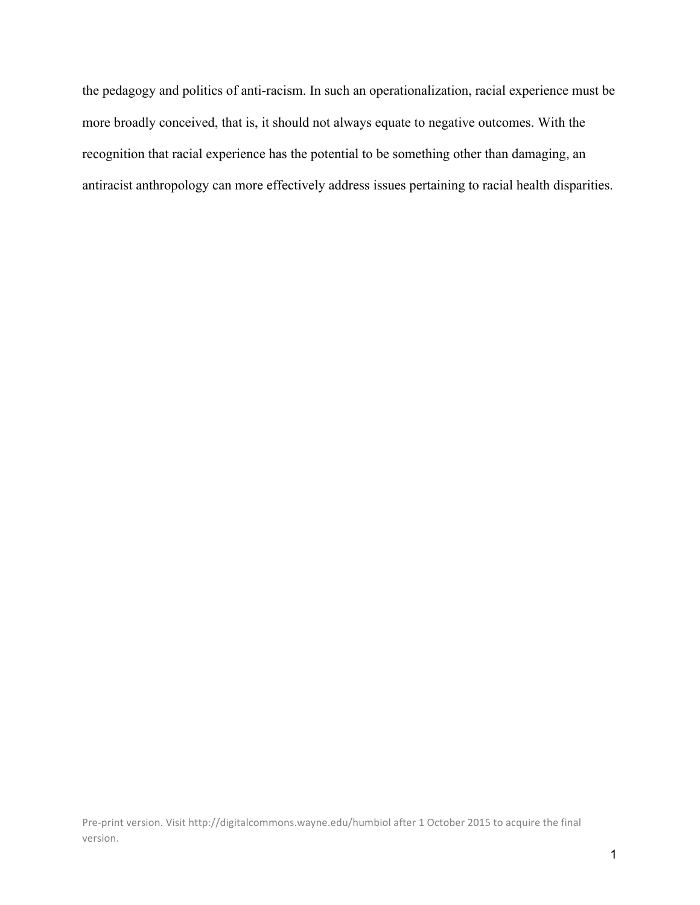the pedagogy and politics of anti-racism. In such an operationalization, racial experience must be more broadly conceived, that is, it should not always equate to negative outcomes. With the recognition that racial experience has the potential to be something other than damaging, an antiracist anthropology can more effectively address issues pertaining to racial health disparities.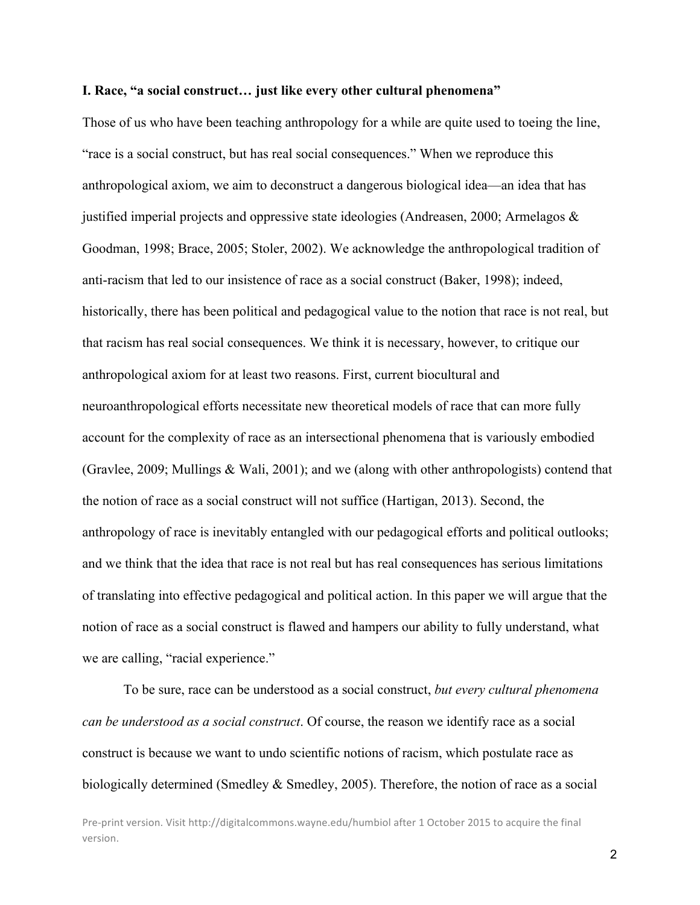#### **I. Race, "a social construct… just like every other cultural phenomena"**

Those of us who have been teaching anthropology for a while are quite used to toeing the line, "race is a social construct, but has real social consequences." When we reproduce this anthropological axiom, we aim to deconstruct a dangerous biological idea—an idea that has justified imperial projects and oppressive state ideologies (Andreasen, 2000; Armelagos & Goodman, 1998; Brace, 2005; Stoler, 2002). We acknowledge the anthropological tradition of anti-racism that led to our insistence of race as a social construct (Baker, 1998); indeed, historically, there has been political and pedagogical value to the notion that race is not real, but that racism has real social consequences. We think it is necessary, however, to critique our anthropological axiom for at least two reasons. First, current biocultural and neuroanthropological efforts necessitate new theoretical models of race that can more fully account for the complexity of race as an intersectional phenomena that is variously embodied (Gravlee, 2009; Mullings & Wali, 2001); and we (along with other anthropologists) contend that the notion of race as a social construct will not suffice (Hartigan, 2013). Second, the anthropology of race is inevitably entangled with our pedagogical efforts and political outlooks; and we think that the idea that race is not real but has real consequences has serious limitations of translating into effective pedagogical and political action. In this paper we will argue that the notion of race as a social construct is flawed and hampers our ability to fully understand, what we are calling, "racial experience."

To be sure, race can be understood as a social construct, *but every cultural phenomena can be understood as a social construct*. Of course, the reason we identify race as a social construct is because we want to undo scientific notions of racism, which postulate race as biologically determined (Smedley & Smedley, 2005). Therefore, the notion of race as a social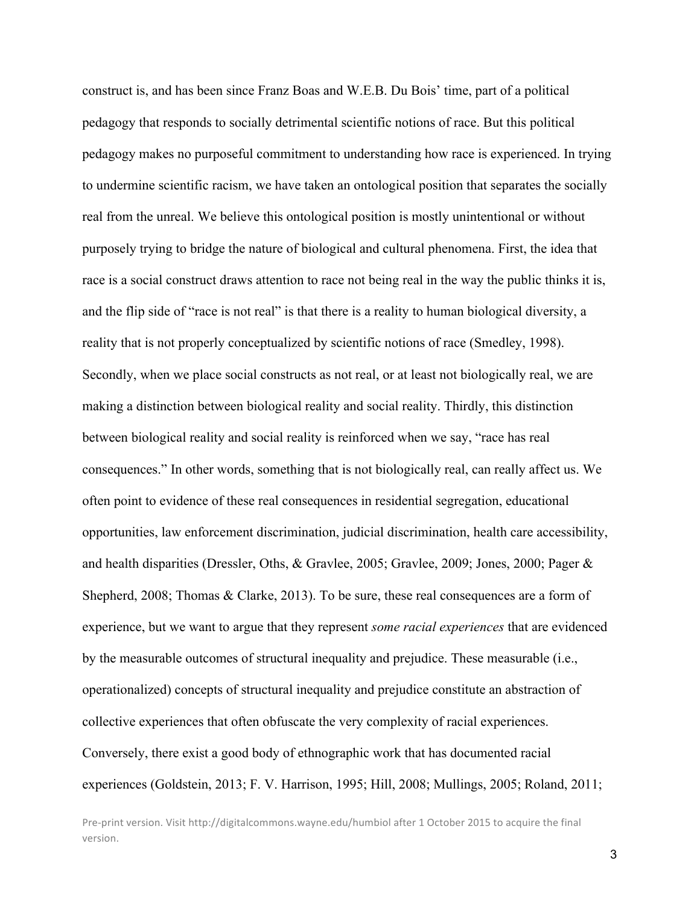construct is, and has been since Franz Boas and W.E.B. Du Bois' time, part of a political pedagogy that responds to socially detrimental scientific notions of race. But this political pedagogy makes no purposeful commitment to understanding how race is experienced. In trying to undermine scientific racism, we have taken an ontological position that separates the socially real from the unreal. We believe this ontological position is mostly unintentional or without purposely trying to bridge the nature of biological and cultural phenomena. First, the idea that race is a social construct draws attention to race not being real in the way the public thinks it is, and the flip side of "race is not real" is that there is a reality to human biological diversity, a reality that is not properly conceptualized by scientific notions of race (Smedley, 1998). Secondly, when we place social constructs as not real, or at least not biologically real, we are making a distinction between biological reality and social reality. Thirdly, this distinction between biological reality and social reality is reinforced when we say, "race has real consequences." In other words, something that is not biologically real, can really affect us. We often point to evidence of these real consequences in residential segregation, educational opportunities, law enforcement discrimination, judicial discrimination, health care accessibility, and health disparities (Dressler, Oths, & Gravlee, 2005; Gravlee, 2009; Jones, 2000; Pager & Shepherd, 2008; Thomas & Clarke, 2013). To be sure, these real consequences are a form of experience, but we want to argue that they represent *some racial experiences* that are evidenced by the measurable outcomes of structural inequality and prejudice. These measurable (i.e., operationalized) concepts of structural inequality and prejudice constitute an abstraction of collective experiences that often obfuscate the very complexity of racial experiences. Conversely, there exist a good body of ethnographic work that has documented racial experiences (Goldstein, 2013; F. V. Harrison, 1995; Hill, 2008; Mullings, 2005; Roland, 2011;

Pre-print version. Visit http://digitalcommons.wayne.edu/humbiol after 1 October 2015 to acquire the final version.

3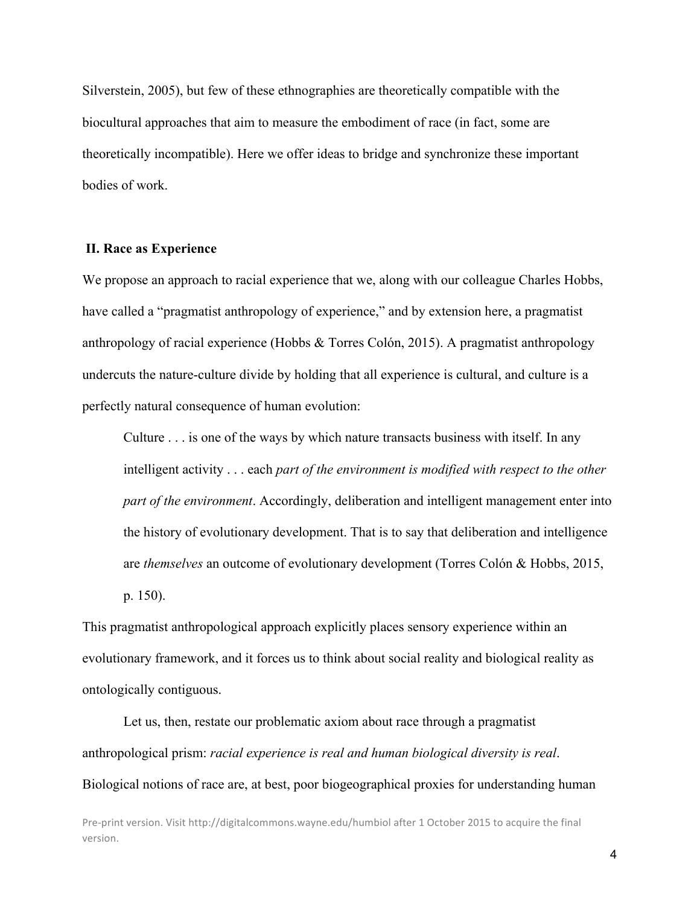Silverstein, 2005), but few of these ethnographies are theoretically compatible with the biocultural approaches that aim to measure the embodiment of race (in fact, some are theoretically incompatible). Here we offer ideas to bridge and synchronize these important bodies of work.

#### **II. Race as Experience**

We propose an approach to racial experience that we, along with our colleague Charles Hobbs, have called a "pragmatist anthropology of experience," and by extension here, a pragmatist anthropology of racial experience (Hobbs & Torres Colón, 2015). A pragmatist anthropology undercuts the nature-culture divide by holding that all experience is cultural, and culture is a perfectly natural consequence of human evolution:

Culture . . . is one of the ways by which nature transacts business with itself. In any intelligent activity . . . each *part of the environment is modified with respect to the other part of the environment*. Accordingly, deliberation and intelligent management enter into the history of evolutionary development. That is to say that deliberation and intelligence are *themselves* an outcome of evolutionary development (Torres Colón & Hobbs, 2015, p. 150).

This pragmatist anthropological approach explicitly places sensory experience within an evolutionary framework, and it forces us to think about social reality and biological reality as ontologically contiguous.

Let us, then, restate our problematic axiom about race through a pragmatist anthropological prism: *racial experience is real and human biological diversity is real*. Biological notions of race are, at best, poor biogeographical proxies for understanding human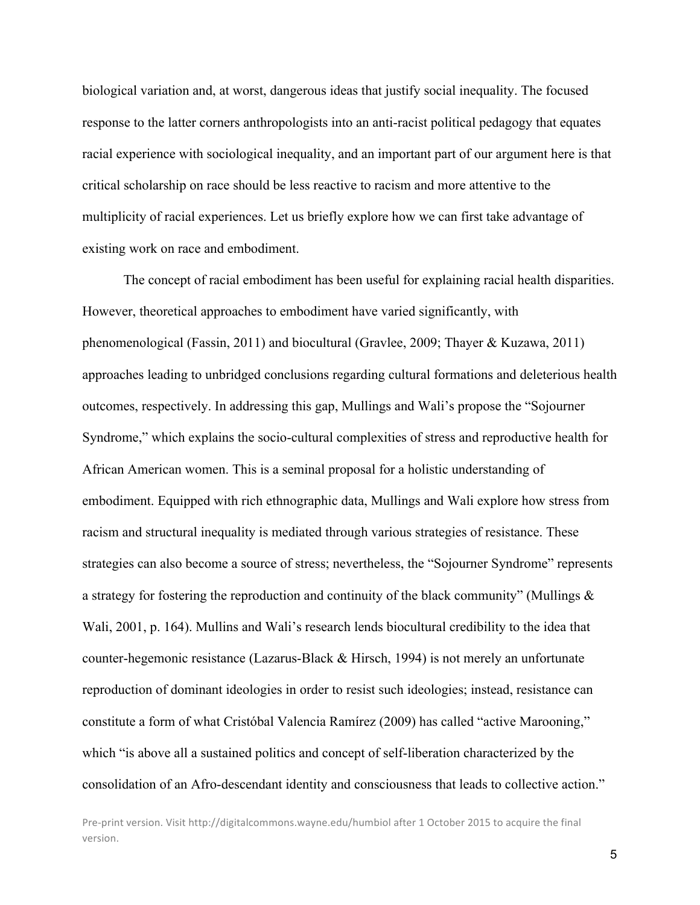biological variation and, at worst, dangerous ideas that justify social inequality. The focused response to the latter corners anthropologists into an anti-racist political pedagogy that equates racial experience with sociological inequality, and an important part of our argument here is that critical scholarship on race should be less reactive to racism and more attentive to the multiplicity of racial experiences. Let us briefly explore how we can first take advantage of existing work on race and embodiment.

The concept of racial embodiment has been useful for explaining racial health disparities. However, theoretical approaches to embodiment have varied significantly, with phenomenological (Fassin, 2011) and biocultural (Gravlee, 2009; Thayer & Kuzawa, 2011) approaches leading to unbridged conclusions regarding cultural formations and deleterious health outcomes, respectively. In addressing this gap, Mullings and Wali's propose the "Sojourner Syndrome," which explains the socio-cultural complexities of stress and reproductive health for African American women. This is a seminal proposal for a holistic understanding of embodiment. Equipped with rich ethnographic data, Mullings and Wali explore how stress from racism and structural inequality is mediated through various strategies of resistance. These strategies can also become a source of stress; nevertheless, the "Sojourner Syndrome" represents a strategy for fostering the reproduction and continuity of the black community" (Mullings  $\&$ Wali, 2001, p. 164). Mullins and Wali's research lends biocultural credibility to the idea that counter-hegemonic resistance (Lazarus-Black & Hirsch, 1994) is not merely an unfortunate reproduction of dominant ideologies in order to resist such ideologies; instead, resistance can constitute a form of what Cristóbal Valencia Ramírez (2009) has called "active Marooning," which "is above all a sustained politics and concept of self-liberation characterized by the consolidation of an Afro-descendant identity and consciousness that leads to collective action."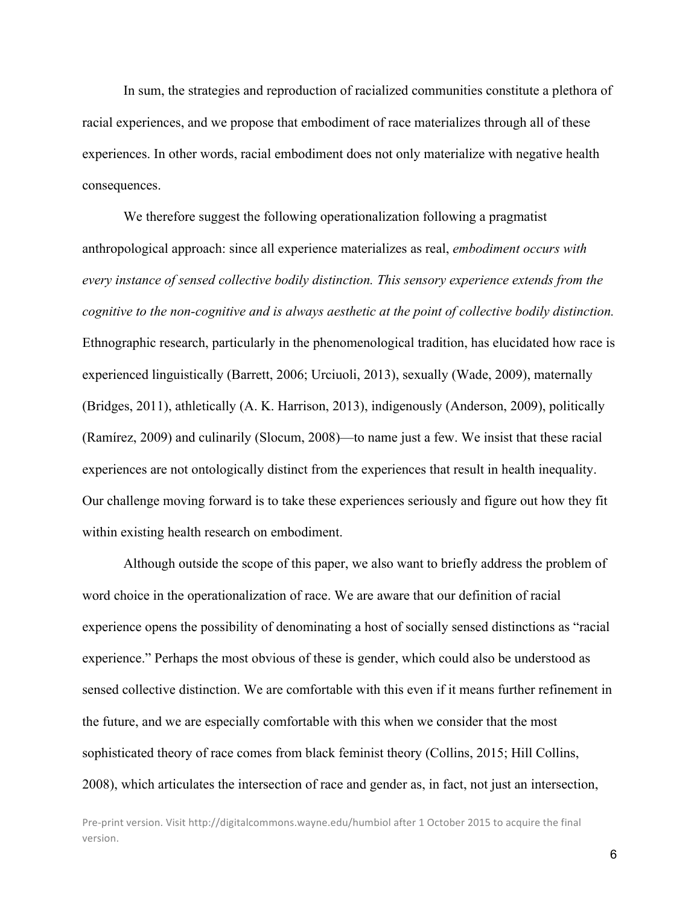In sum, the strategies and reproduction of racialized communities constitute a plethora of racial experiences, and we propose that embodiment of race materializes through all of these experiences. In other words, racial embodiment does not only materialize with negative health consequences.

We therefore suggest the following operationalization following a pragmatist anthropological approach: since all experience materializes as real, *embodiment occurs with every instance of sensed collective bodily distinction. This sensory experience extends from the cognitive to the non-cognitive and is always aesthetic at the point of collective bodily distinction.* Ethnographic research, particularly in the phenomenological tradition, has elucidated how race is experienced linguistically (Barrett, 2006; Urciuoli, 2013), sexually (Wade, 2009), maternally (Bridges, 2011), athletically (A. K. Harrison, 2013), indigenously (Anderson, 2009), politically (Ramírez, 2009) and culinarily (Slocum, 2008)—to name just a few. We insist that these racial experiences are not ontologically distinct from the experiences that result in health inequality. Our challenge moving forward is to take these experiences seriously and figure out how they fit within existing health research on embodiment.

Although outside the scope of this paper, we also want to briefly address the problem of word choice in the operationalization of race. We are aware that our definition of racial experience opens the possibility of denominating a host of socially sensed distinctions as "racial experience." Perhaps the most obvious of these is gender, which could also be understood as sensed collective distinction. We are comfortable with this even if it means further refinement in the future, and we are especially comfortable with this when we consider that the most sophisticated theory of race comes from black feminist theory (Collins, 2015; Hill Collins, 2008), which articulates the intersection of race and gender as, in fact, not just an intersection,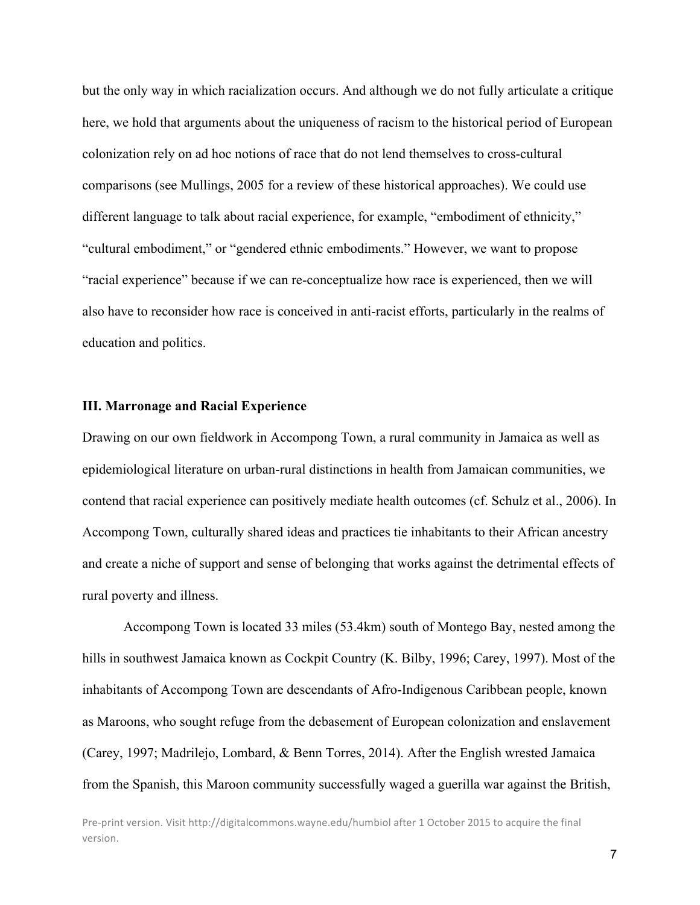but the only way in which racialization occurs. And although we do not fully articulate a critique here, we hold that arguments about the uniqueness of racism to the historical period of European colonization rely on ad hoc notions of race that do not lend themselves to cross-cultural comparisons (see Mullings, 2005 for a review of these historical approaches). We could use different language to talk about racial experience, for example, "embodiment of ethnicity," "cultural embodiment," or "gendered ethnic embodiments." However, we want to propose "racial experience" because if we can re-conceptualize how race is experienced, then we will also have to reconsider how race is conceived in anti-racist efforts, particularly in the realms of education and politics.

#### **III. Marronage and Racial Experience**

Drawing on our own fieldwork in Accompong Town, a rural community in Jamaica as well as epidemiological literature on urban-rural distinctions in health from Jamaican communities, we contend that racial experience can positively mediate health outcomes (cf. Schulz et al., 2006). In Accompong Town, culturally shared ideas and practices tie inhabitants to their African ancestry and create a niche of support and sense of belonging that works against the detrimental effects of rural poverty and illness.

Accompong Town is located 33 miles (53.4km) south of Montego Bay, nested among the hills in southwest Jamaica known as Cockpit Country (K. Bilby, 1996; Carey, 1997). Most of the inhabitants of Accompong Town are descendants of Afro-Indigenous Caribbean people, known as Maroons, who sought refuge from the debasement of European colonization and enslavement (Carey, 1997; Madrilejo, Lombard, & Benn Torres, 2014). After the English wrested Jamaica from the Spanish, this Maroon community successfully waged a guerilla war against the British,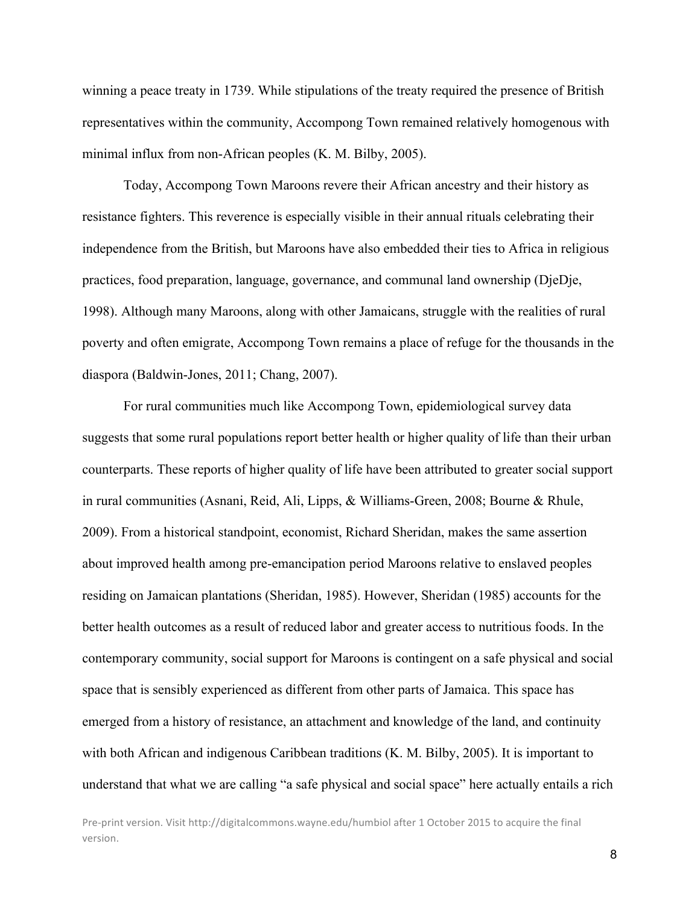winning a peace treaty in 1739. While stipulations of the treaty required the presence of British representatives within the community, Accompong Town remained relatively homogenous with minimal influx from non-African peoples (K. M. Bilby, 2005).

Today, Accompong Town Maroons revere their African ancestry and their history as resistance fighters. This reverence is especially visible in their annual rituals celebrating their independence from the British, but Maroons have also embedded their ties to Africa in religious practices, food preparation, language, governance, and communal land ownership (DjeDje, 1998). Although many Maroons, along with other Jamaicans, struggle with the realities of rural poverty and often emigrate, Accompong Town remains a place of refuge for the thousands in the diaspora (Baldwin-Jones, 2011; Chang, 2007).

For rural communities much like Accompong Town, epidemiological survey data suggests that some rural populations report better health or higher quality of life than their urban counterparts. These reports of higher quality of life have been attributed to greater social support in rural communities (Asnani, Reid, Ali, Lipps, & Williams-Green, 2008; Bourne & Rhule, 2009). From a historical standpoint, economist, Richard Sheridan, makes the same assertion about improved health among pre-emancipation period Maroons relative to enslaved peoples residing on Jamaican plantations (Sheridan, 1985). However, Sheridan (1985) accounts for the better health outcomes as a result of reduced labor and greater access to nutritious foods. In the contemporary community, social support for Maroons is contingent on a safe physical and social space that is sensibly experienced as different from other parts of Jamaica. This space has emerged from a history of resistance, an attachment and knowledge of the land, and continuity with both African and indigenous Caribbean traditions (K. M. Bilby, 2005). It is important to understand that what we are calling "a safe physical and social space" here actually entails a rich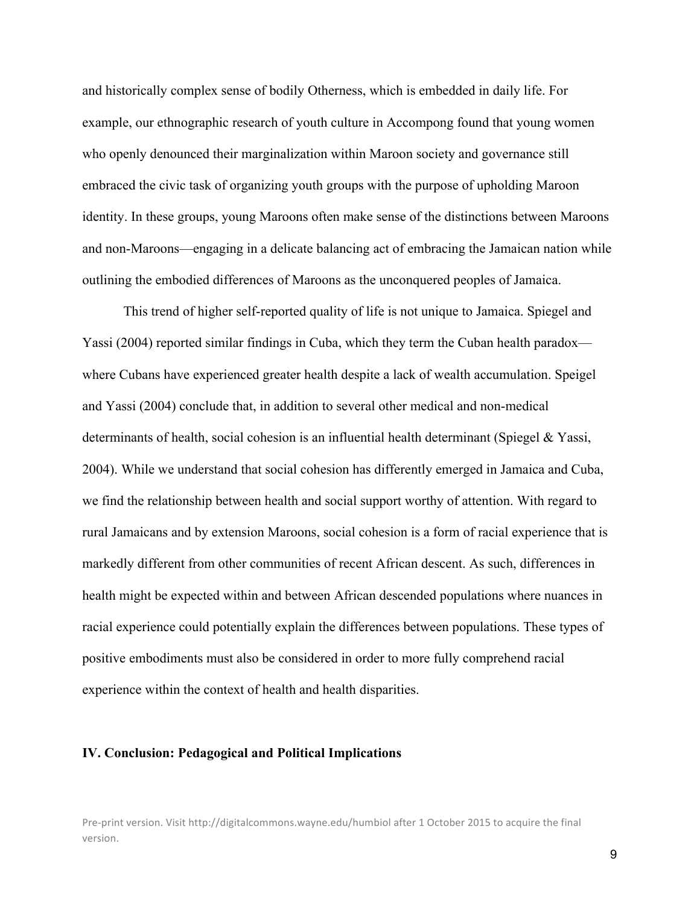and historically complex sense of bodily Otherness, which is embedded in daily life. For example, our ethnographic research of youth culture in Accompong found that young women who openly denounced their marginalization within Maroon society and governance still embraced the civic task of organizing youth groups with the purpose of upholding Maroon identity. In these groups, young Maroons often make sense of the distinctions between Maroons and non-Maroons—engaging in a delicate balancing act of embracing the Jamaican nation while outlining the embodied differences of Maroons as the unconquered peoples of Jamaica.

This trend of higher self-reported quality of life is not unique to Jamaica. Spiegel and Yassi (2004) reported similar findings in Cuba, which they term the Cuban health paradox where Cubans have experienced greater health despite a lack of wealth accumulation. Speigel and Yassi (2004) conclude that, in addition to several other medical and non-medical determinants of health, social cohesion is an influential health determinant (Spiegel & Yassi, 2004). While we understand that social cohesion has differently emerged in Jamaica and Cuba, we find the relationship between health and social support worthy of attention. With regard to rural Jamaicans and by extension Maroons, social cohesion is a form of racial experience that is markedly different from other communities of recent African descent. As such, differences in health might be expected within and between African descended populations where nuances in racial experience could potentially explain the differences between populations. These types of positive embodiments must also be considered in order to more fully comprehend racial experience within the context of health and health disparities.

#### **IV. Conclusion: Pedagogical and Political Implications**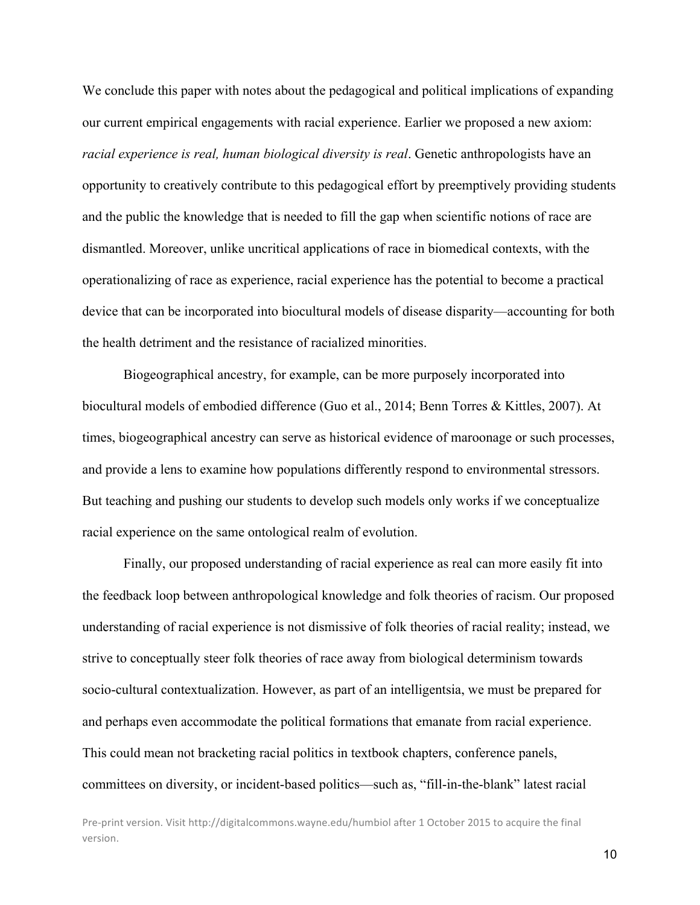We conclude this paper with notes about the pedagogical and political implications of expanding our current empirical engagements with racial experience. Earlier we proposed a new axiom: *racial experience is real, human biological diversity is real*. Genetic anthropologists have an opportunity to creatively contribute to this pedagogical effort by preemptively providing students and the public the knowledge that is needed to fill the gap when scientific notions of race are dismantled. Moreover, unlike uncritical applications of race in biomedical contexts, with the operationalizing of race as experience, racial experience has the potential to become a practical device that can be incorporated into biocultural models of disease disparity—accounting for both the health detriment and the resistance of racialized minorities.

Biogeographical ancestry, for example, can be more purposely incorporated into biocultural models of embodied difference (Guo et al., 2014; Benn Torres & Kittles, 2007). At times, biogeographical ancestry can serve as historical evidence of maroonage or such processes, and provide a lens to examine how populations differently respond to environmental stressors. But teaching and pushing our students to develop such models only works if we conceptualize racial experience on the same ontological realm of evolution.

Finally, our proposed understanding of racial experience as real can more easily fit into the feedback loop between anthropological knowledge and folk theories of racism. Our proposed understanding of racial experience is not dismissive of folk theories of racial reality; instead, we strive to conceptually steer folk theories of race away from biological determinism towards socio-cultural contextualization. However, as part of an intelligentsia, we must be prepared for and perhaps even accommodate the political formations that emanate from racial experience. This could mean not bracketing racial politics in textbook chapters, conference panels, committees on diversity, or incident-based politics—such as, "fill-in-the-blank" latest racial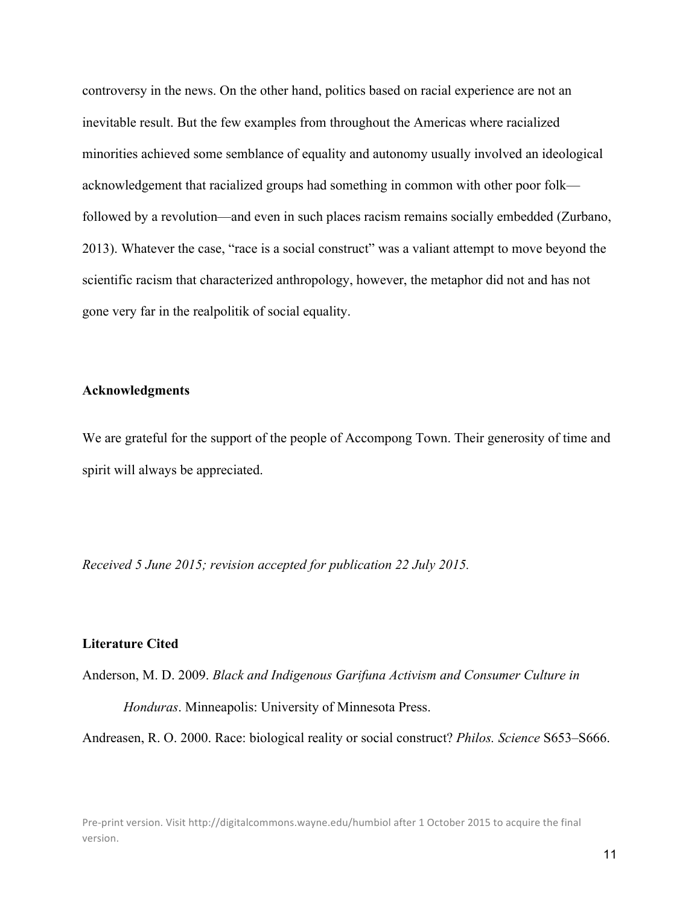controversy in the news. On the other hand, politics based on racial experience are not an inevitable result. But the few examples from throughout the Americas where racialized minorities achieved some semblance of equality and autonomy usually involved an ideological acknowledgement that racialized groups had something in common with other poor folk followed by a revolution—and even in such places racism remains socially embedded (Zurbano, 2013). Whatever the case, "race is a social construct" was a valiant attempt to move beyond the scientific racism that characterized anthropology, however, the metaphor did not and has not gone very far in the realpolitik of social equality.

### **Acknowledgments**

We are grateful for the support of the people of Accompong Town. Their generosity of time and spirit will always be appreciated.

*Received 5 June 2015; revision accepted for publication 22 July 2015.*

#### **Literature Cited**

Anderson, M. D. 2009. *Black and Indigenous Garifuna Activism and Consumer Culture in Honduras*. Minneapolis: University of Minnesota Press.

Andreasen, R. O. 2000. Race: biological reality or social construct? *Philos. Science* S653–S666.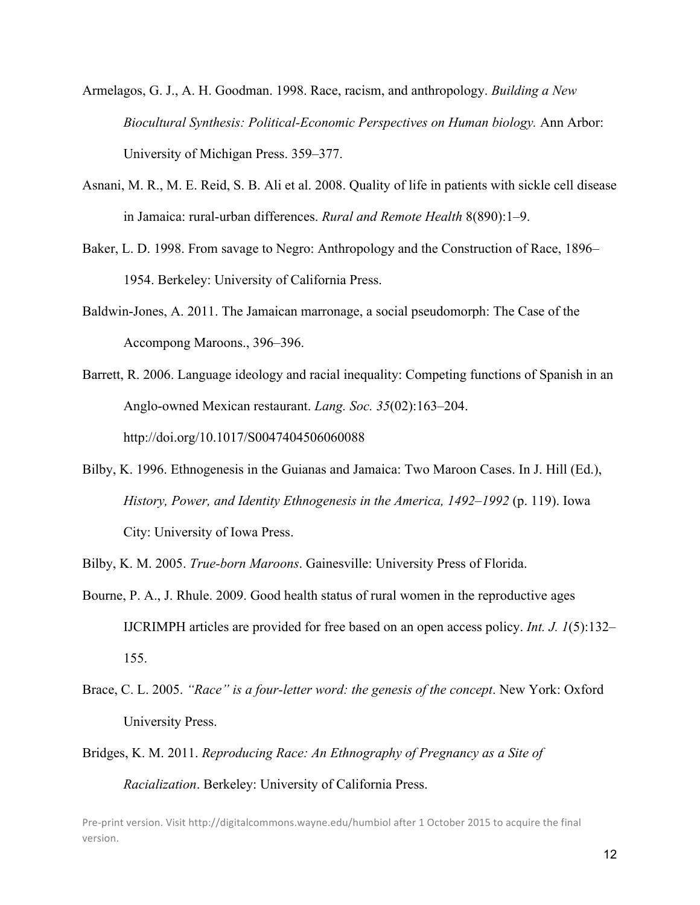- Armelagos, G. J., A. H. Goodman. 1998. Race, racism, and anthropology. *Building a New Biocultural Synthesis: Political-Economic Perspectives on Human biology.* Ann Arbor: University of Michigan Press. 359–377.
- Asnani, M. R., M. E. Reid, S. B. Ali et al. 2008. Quality of life in patients with sickle cell disease in Jamaica: rural-urban differences. *Rural and Remote Health* 8(890):1–9.
- Baker, L. D. 1998. From savage to Negro: Anthropology and the Construction of Race, 1896– 1954. Berkeley: University of California Press.
- Baldwin-Jones, A. 2011. The Jamaican marronage, a social pseudomorph: The Case of the Accompong Maroons., 396–396.
- Barrett, R. 2006. Language ideology and racial inequality: Competing functions of Spanish in an Anglo-owned Mexican restaurant. *Lang. Soc. 35*(02):163–204. http://doi.org/10.1017/S0047404506060088
- Bilby, K. 1996. Ethnogenesis in the Guianas and Jamaica: Two Maroon Cases. In J. Hill (Ed.), *History, Power, and Identity Ethnogenesis in the America, 1492–1992* (p. 119). Iowa City: University of Iowa Press.
- Bilby, K. M. 2005. *True-born Maroons*. Gainesville: University Press of Florida.
- Bourne, P. A., J. Rhule. 2009. Good health status of rural women in the reproductive ages IJCRIMPH articles are provided for free based on an open access policy. *Int. J. 1*(5):132– 155.
- Brace, C. L. 2005. *"Race" is a four-letter word: the genesis of the concept*. New York: Oxford University Press.
- Bridges, K. M. 2011. *Reproducing Race: An Ethnography of Pregnancy as a Site of Racialization*. Berkeley: University of California Press.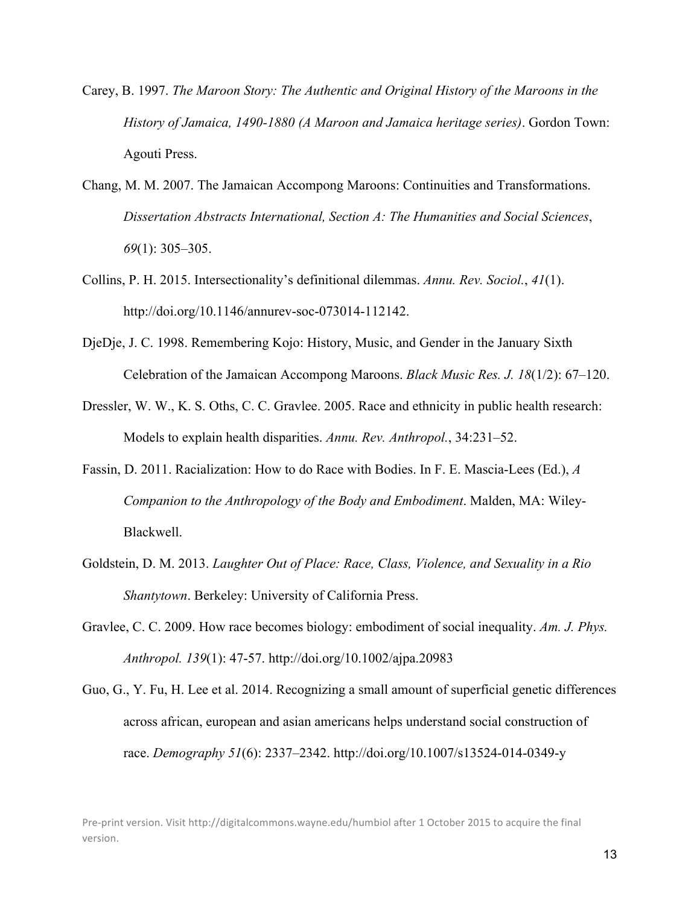- Carey, B. 1997. *The Maroon Story: The Authentic and Original History of the Maroons in the History of Jamaica, 1490-1880 (A Maroon and Jamaica heritage series)*. Gordon Town: Agouti Press.
- Chang, M. M. 2007. The Jamaican Accompong Maroons: Continuities and Transformations. *Dissertation Abstracts International, Section A: The Humanities and Social Sciences*, *69*(1): 305–305.
- Collins, P. H. 2015. Intersectionality's definitional dilemmas. *Annu. Rev. Sociol.*, *41*(1). http://doi.org/10.1146/annurev-soc-073014-112142.
- DjeDje, J. C. 1998. Remembering Kojo: History, Music, and Gender in the January Sixth Celebration of the Jamaican Accompong Maroons. *Black Music Res. J. 18*(1/2): 67–120.
- Dressler, W. W., K. S. Oths, C. C. Gravlee. 2005. Race and ethnicity in public health research: Models to explain health disparities. *Annu. Rev. Anthropol.*, 34:231–52.
- Fassin, D. 2011. Racialization: How to do Race with Bodies. In F. E. Mascia-Lees (Ed.), *A Companion to the Anthropology of the Body and Embodiment*. Malden, MA: Wiley-Blackwell.
- Goldstein, D. M. 2013. *Laughter Out of Place: Race, Class, Violence, and Sexuality in a Rio Shantytown*. Berkeley: University of California Press.
- Gravlee, C. C. 2009. How race becomes biology: embodiment of social inequality. *Am. J. Phys. Anthropol. 139*(1): 47-57. http://doi.org/10.1002/ajpa.20983
- Guo, G., Y. Fu, H. Lee et al. 2014. Recognizing a small amount of superficial genetic differences across african, european and asian americans helps understand social construction of race. *Demography 51*(6): 2337–2342. http://doi.org/10.1007/s13524-014-0349-y

Pre-print version. Visit http://digitalcommons.wayne.edu/humbiol after 1 October 2015 to acquire the final version.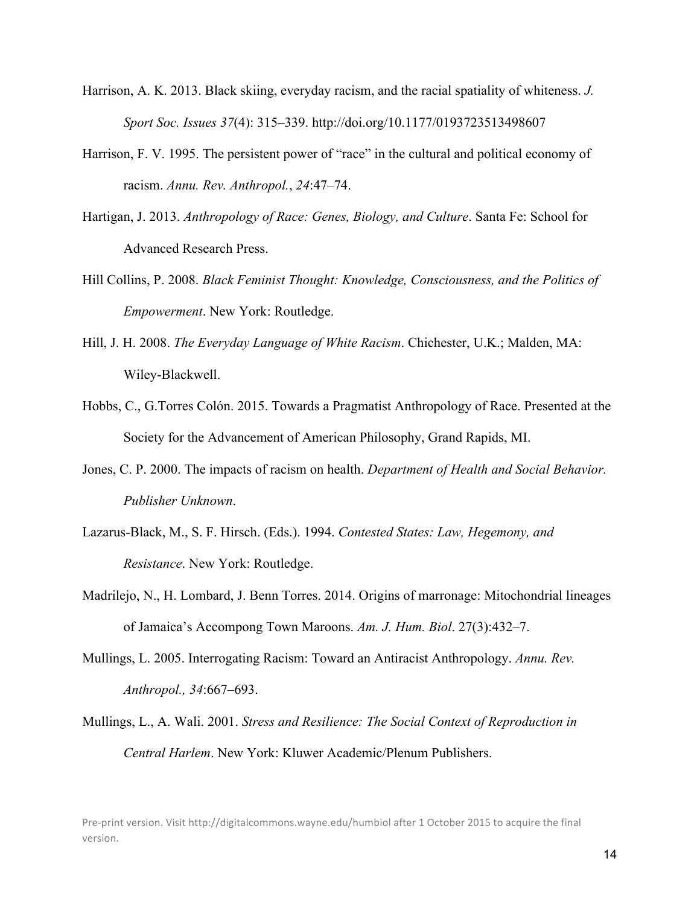- Harrison, A. K. 2013. Black skiing, everyday racism, and the racial spatiality of whiteness. *J. Sport Soc. Issues 37*(4): 315–339. http://doi.org/10.1177/0193723513498607
- Harrison, F. V. 1995. The persistent power of "race" in the cultural and political economy of racism. *Annu. Rev. Anthropol.*, *24*:47–74.
- Hartigan, J. 2013. *Anthropology of Race: Genes, Biology, and Culture*. Santa Fe: School for Advanced Research Press.
- Hill Collins, P. 2008. *Black Feminist Thought: Knowledge, Consciousness, and the Politics of Empowerment*. New York: Routledge.
- Hill, J. H. 2008. *The Everyday Language of White Racism*. Chichester, U.K.; Malden, MA: Wiley-Blackwell.
- Hobbs, C., G.Torres Colón. 2015. Towards a Pragmatist Anthropology of Race. Presented at the Society for the Advancement of American Philosophy, Grand Rapids, MI.
- Jones, C. P. 2000. The impacts of racism on health. *Department of Health and Social Behavior. Publisher Unknown*.
- Lazarus-Black, M., S. F. Hirsch. (Eds.). 1994. *Contested States: Law, Hegemony, and Resistance*. New York: Routledge.
- Madrilejo, N., H. Lombard, J. Benn Torres. 2014. Origins of marronage: Mitochondrial lineages of Jamaica's Accompong Town Maroons. *Am. J. Hum. Biol*. 27(3):432–7.
- Mullings, L. 2005. Interrogating Racism: Toward an Antiracist Anthropology. *Annu. Rev. Anthropol., 34*:667–693.
- Mullings, L., A. Wali. 2001. *Stress and Resilience: The Social Context of Reproduction in Central Harlem*. New York: Kluwer Academic/Plenum Publishers.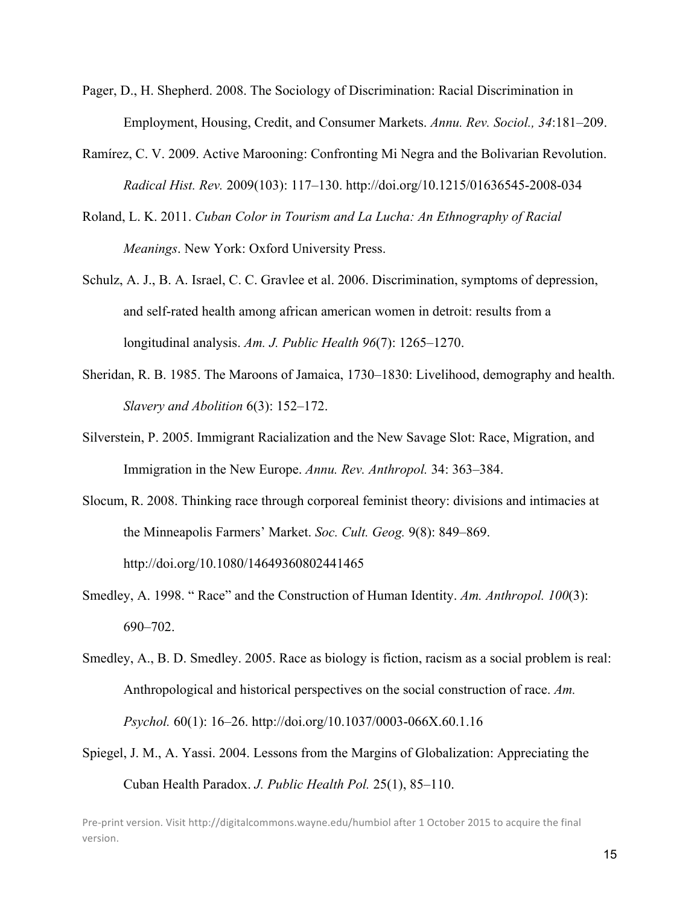- Pager, D., H. Shepherd. 2008. The Sociology of Discrimination: Racial Discrimination in Employment, Housing, Credit, and Consumer Markets. *Annu. Rev. Sociol., 34*:181–209.
- Ramírez, C. V. 2009. Active Marooning: Confronting Mi Negra and the Bolivarian Revolution. *Radical Hist. Rev.* 2009(103): 117–130. http://doi.org/10.1215/01636545-2008-034
- Roland, L. K. 2011. *Cuban Color in Tourism and La Lucha: An Ethnography of Racial Meanings*. New York: Oxford University Press.
- Schulz, A. J., B. A. Israel, C. C. Gravlee et al. 2006. Discrimination, symptoms of depression, and self-rated health among african american women in detroit: results from a longitudinal analysis. *Am. J. Public Health 96*(7): 1265–1270.
- Sheridan, R. B. 1985. The Maroons of Jamaica, 1730–1830: Livelihood, demography and health. *Slavery and Abolition* 6(3): 152–172.
- Silverstein, P. 2005. Immigrant Racialization and the New Savage Slot: Race, Migration, and Immigration in the New Europe. *Annu. Rev. Anthropol.* 34: 363–384.
- Slocum, R. 2008. Thinking race through corporeal feminist theory: divisions and intimacies at the Minneapolis Farmers' Market. *Soc. Cult. Geog.* 9(8): 849–869. http://doi.org/10.1080/14649360802441465
- Smedley, A. 1998. " Race" and the Construction of Human Identity. *Am. Anthropol. 100*(3): 690–702.
- Smedley, A., B. D. Smedley. 2005. Race as biology is fiction, racism as a social problem is real: Anthropological and historical perspectives on the social construction of race. *Am. Psychol.* 60(1): 16–26. http://doi.org/10.1037/0003-066X.60.1.16
- Spiegel, J. M., A. Yassi. 2004. Lessons from the Margins of Globalization: Appreciating the Cuban Health Paradox. *J. Public Health Pol.* 25(1), 85–110.